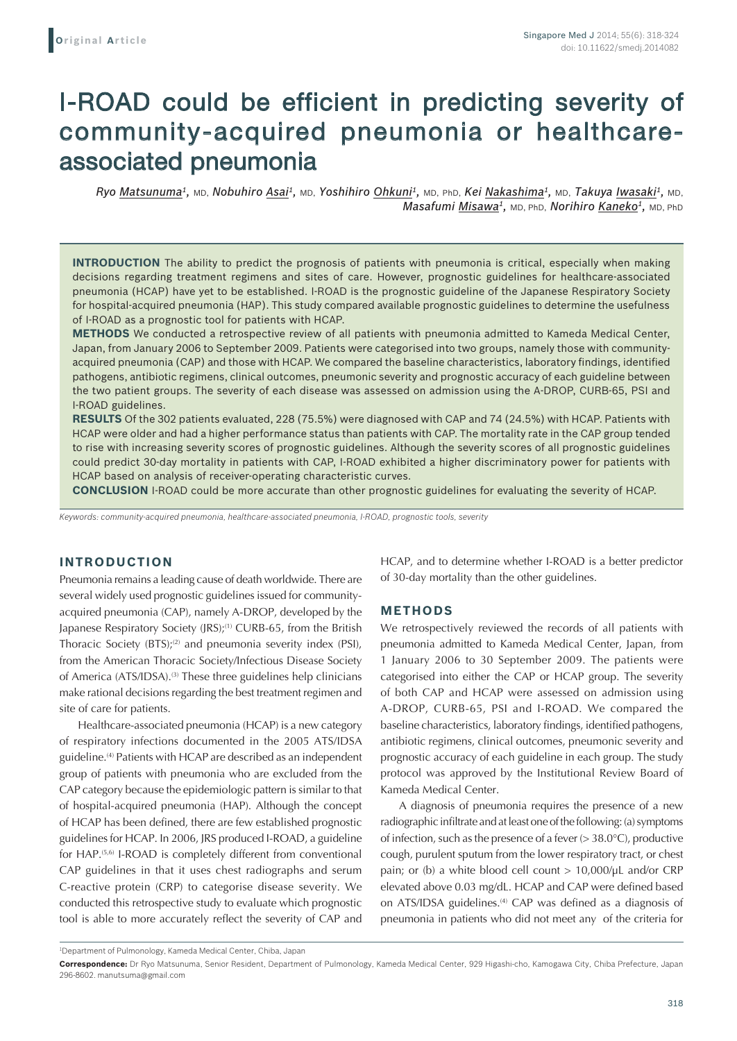# I-ROAD could be efficient in predicting severity of community-acquired pneumonia or healthcareassociated pneumonia

*Ryo Matsunuma1,* MD, *Nobuhiro Asai1,* MD, *Yoshihiro Ohkuni1,* MD, PhD, *Kei Nakashima1,* MD, *Takuya Iwasaki1,* MD, *Masafumi Misawa<sup>1</sup>***, MD, PhD,** *Norihiro Kaneko<sup>1</sup>***, MD, PhD** 

**INTRODUCTION** The ability to predict the prognosis of patients with pneumonia is critical, especially when making decisions regarding treatment regimens and sites of care. However, prognostic guidelines for healthcare-associated pneumonia (HCAP) have yet to be established. I-ROAD is the prognostic guideline of the Japanese Respiratory Society for hospital-acquired pneumonia (HAP). This study compared available prognostic guidelines to determine the usefulness of I-ROAD as a prognostic tool for patients with HCAP.

**METHODS** We conducted a retrospective review of all patients with pneumonia admitted to Kameda Medical Center, Japan, from January 2006 to September 2009. Patients were categorised into two groups, namely those with communityacquired pneumonia (CAP) and those with HCAP. We compared the baseline characteristics, laboratory findings, identified pathogens, antibiotic regimens, clinical outcomes, pneumonic severity and prognostic accuracy of each guideline between the two patient groups. The severity of each disease was assessed on admission using the A-DROP, CURB-65, PSI and I-ROAD guidelines.

**RESULTS** Of the 302 patients evaluated, 228 (75.5%) were diagnosed with CAP and 74 (24.5%) with HCAP. Patients with HCAP were older and had a higher performance status than patients with CAP. The mortality rate in the CAP group tended to rise with increasing severity scores of prognostic guidelines. Although the severity scores of all prognostic guidelines could predict 30-day mortality in patients with CAP, I-ROAD exhibited a higher discriminatory power for patients with HCAP based on analysis of receiver-operating characteristic curves.

**CONCLUSION** I-ROAD could be more accurate than other prognostic guidelines for evaluating the severity of HCAP.

*Keywords: community-acquired pneumonia, healthcare-associated pneumonia, I-ROAD, prognostic tools, severity*

# **INTRODUCTION**

Pneumonia remains a leading cause of death worldwide. There are several widely used prognostic guidelines issued for communityacquired pneumonia (CAP), namely A-DROP, developed by the Japanese Respiratory Society (JRS);<sup>(1)</sup> CURB-65, from the British Thoracic Society  $(BTS)$ ;<sup>(2)</sup> and pneumonia severity index (PSI), from the American Thoracic Society/Infectious Disease Society of America (ATS/IDSA).<sup>(3)</sup> These three guidelines help clinicians make rational decisions regarding the best treatment regimen and site of care for patients.

Healthcare-associated pneumonia (HCAP) is a new category of respiratory infections documented in the 2005 ATS/IDSA guideline.(4) Patients with HCAP are described as an independent group of patients with pneumonia who are excluded from the CAP category because the epidemiologic pattern is similar to that of hospital-acquired pneumonia (HAP). Although the concept of HCAP has been defined, there are few established prognostic guidelines for HCAP. In 2006, JRS produced I-ROAD, a guideline for HAP.<sup>(5,6)</sup> I-ROAD is completely different from conventional CAP guidelines in that it uses chest radiographs and serum C-reactive protein (CRP) to categorise disease severity. We conducted this retrospective study to evaluate which prognostic tool is able to more accurately reflect the severity of CAP and HCAP, and to determine whether I-ROAD is a better predictor of 30-day mortality than the other guidelines.

## **METHODS**

We retrospectively reviewed the records of all patients with pneumonia admitted to Kameda Medical Center, Japan, from 1 January 2006 to 30 September 2009. The patients were categorised into either the CAP or HCAP group. The severity of both CAP and HCAP were assessed on admission using A-DROP, CURB-65, PSI and I-ROAD. We compared the baseline characteristics, laboratory findings, identified pathogens, antibiotic regimens, clinical outcomes, pneumonic severity and prognostic accuracy of each guideline in each group. The study protocol was approved by the Institutional Review Board of Kameda Medical Center.

A diagnosis of pneumonia requires the presence of a new radiographic infiltrate and at least one of the following: (a) symptoms of infection, such as the presence of a fever  $(>38.0^{\circ}C)$ , productive cough, purulent sputum from the lower respiratory tract, or chest pain; or (b) a white blood cell count > 10,000/μL and/or CRP elevated above 0.03 mg/dL. HCAP and CAP were defined based on ATS/IDSA guidelines.<sup>(4)</sup> CAP was defined as a diagnosis of pneumonia in patients who did not meet any of the criteria for

<sup>1</sup> Department of Pulmonology, Kameda Medical Center, Chiba, Japan

**Correspondence:** Dr Ryo Matsunuma, Senior Resident, Department of Pulmonology, Kameda Medical Center, 929 Higashi-cho, Kamogawa City, Chiba Prefecture, Japan 296-8602. manutsuma@gmail.com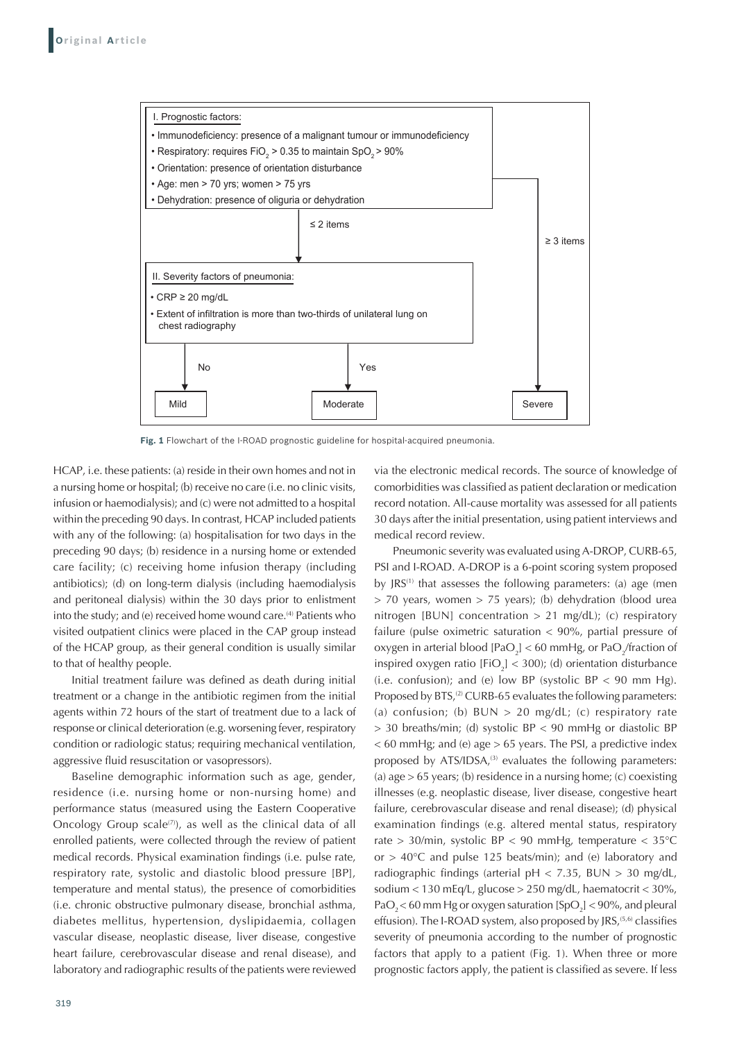

**Fig. 1** Flowchart of the I-ROAD prognostic guideline for hospital-acquired pneumonia.

HCAP, i.e. these patients: (a) reside in their own homes and not in a nursing home or hospital; (b) receive no care (i.e. no clinic visits, infusion or haemodialysis); and (c) were not admitted to a hospital within the preceding 90 days. In contrast, HCAP included patients with any of the following: (a) hospitalisation for two days in the preceding 90 days; (b) residence in a nursing home or extended care facility; (c) receiving home infusion therapy (including antibiotics); (d) on long-term dialysis (including haemodialysis and peritoneal dialysis) within the 30 days prior to enlistment into the study; and (e) received home wound care.<sup>(4)</sup> Patients who visited outpatient clinics were placed in the CAP group instead of the HCAP group, as their general condition is usually similar to that of healthy people.

Initial treatment failure was defined as death during initial treatment or a change in the antibiotic regimen from the initial agents within 72 hours of the start of treatment due to a lack of response or clinical deterioration (e.g. worsening fever, respiratory condition or radiologic status; requiring mechanical ventilation, aggressive fluid resuscitation or vasopressors).

Baseline demographic information such as age, gender, residence (i.e. nursing home or non-nursing home) and performance status (measured using the Eastern Cooperative Oncology Group scale<sup>(7)</sup>), as well as the clinical data of all enrolled patients, were collected through the review of patient medical records. Physical examination findings (i.e. pulse rate, respiratory rate, systolic and diastolic blood pressure [BP], temperature and mental status), the presence of comorbidities (i.e. chronic obstructive pulmonary disease, bronchial asthma, diabetes mellitus, hypertension, dyslipidaemia, collagen vascular disease, neoplastic disease, liver disease, congestive heart failure, cerebrovascular disease and renal disease), and laboratory and radiographic results of the patients were reviewed via the electronic medical records. The source of knowledge of comorbidities was classified as patient declaration or medication record notation. All-cause mortality was assessed for all patients 30 days after the initial presentation, using patient interviews and medical record review.

Pneumonic severity was evaluated using A-DROP, CURB-65, PSI and I-ROAD. A-DROP is a 6-point scoring system proposed by  $JRS^{(1)}$  that assesses the following parameters: (a) age (men > 70 years, women > 75 years); (b) dehydration (blood urea nitrogen [BUN] concentration  $> 21$  mg/dL); (c) respiratory failure (pulse oximetric saturation < 90%, partial pressure of oxygen in arterial blood  $[PaO<sub>2</sub>] < 60$  mmHg, or Pa $O<sub>2</sub>$ /fraction of inspired oxygen ratio  $[FIO<sub>2</sub>] < 300$ ; (d) orientation disturbance (i.e. confusion); and (e) low BP (systolic BP  $<$  90 mm Hg). Proposed by BTS,<sup>(2)</sup> CURB-65 evaluates the following parameters: (a) confusion; (b)  $BUN > 20$  mg/dL; (c) respiratory rate > 30 breaths/min; (d) systolic BP < 90 mmHg or diastolic BP  $<$  60 mmHg; and (e) age  $>$  65 years. The PSI, a predictive index proposed by  $ATS/IDSA$ , $(3)$  evaluates the following parameters: (a) age > 65 years; (b) residence in a nursing home; (c) coexisting illnesses (e.g. neoplastic disease, liver disease, congestive heart failure, cerebrovascular disease and renal disease); (d) physical examination findings (e.g. altered mental status, respiratory rate > 30/min, systolic BP < 90 mmHg, temperature < 35°C or  $> 40^{\circ}$ C and pulse 125 beats/min); and (e) laboratory and radiographic findings (arterial  $pH < 7.35$ , BUN  $> 30$  mg/dL, sodium < 130 mEq/L, glucose > 250 mg/dL, haematocrit < 30%,  $PaO<sub>2</sub> < 60$  mm Hg or oxygen saturation [SpO<sub>2</sub>] < 90%, and pleural effusion). The I-ROAD system, also proposed by JRS,<sup>(5,6)</sup> classifies severity of pneumonia according to the number of prognostic factors that apply to a patient (Fig. 1). When three or more prognostic factors apply, the patient is classified as severe. If less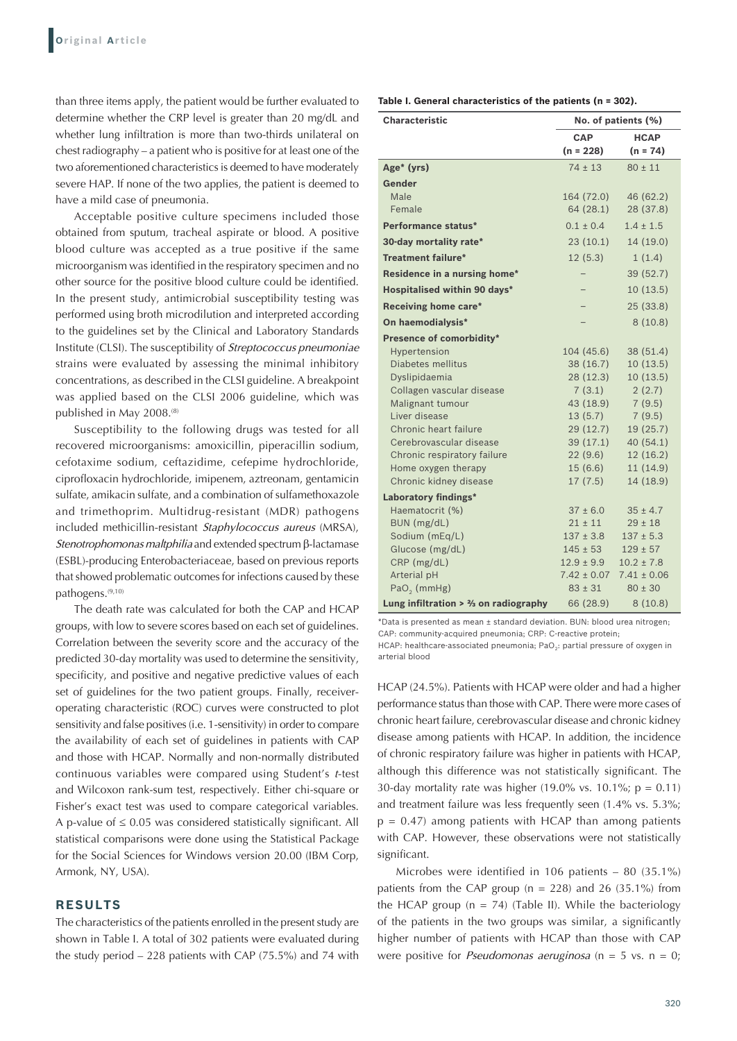than three items apply, the patient would be further evaluated to determine whether the CRP level is greater than 20 mg/dL and whether lung infiltration is more than two-thirds unilateral on chest radiography – a patient who is positive for at least one of the two aforementioned characteristics is deemed to have moderately severe HAP. If none of the two applies, the patient is deemed to have a mild case of pneumonia.

Acceptable positive culture specimens included those obtained from sputum, tracheal aspirate or blood. A positive blood culture was accepted as a true positive if the same microorganism was identified in the respiratory specimen and no other source for the positive blood culture could be identified. In the present study, antimicrobial susceptibility testing was performed using broth microdilution and interpreted according to the guidelines set by the Clinical and Laboratory Standards Institute (CLSI). The susceptibility of *Streptococcus pneumoniae*  strains were evaluated by assessing the minimal inhibitory concentrations, as described in the CLSI guideline. A breakpoint was applied based on the CLSI 2006 guideline, which was published in May 2008.<sup>(8)</sup>

Susceptibility to the following drugs was tested for all recovered microorganisms: amoxicillin, piperacillin sodium, cefotaxime sodium, ceftazidime, cefepime hydrochloride, ciprofloxacin hydrochloride, imipenem, aztreonam, gentamicin sulfate, amikacin sulfate, and a combination of sulfamethoxazole and trimethoprim. Multidrug-resistant (MDR) pathogens included methicillin-resistant *Staphylococcus aureus* (MRSA), Stenotrophomonas maltphilia and extended spectrum β-lactamase (ESBL)-producing Enterobacteriaceae, based on previous reports that showed problematic outcomes for infections caused by these pathogens.(9,10)

The death rate was calculated for both the CAP and HCAP groups, with low to severe scores based on each set of guidelines. Correlation between the severity score and the accuracy of the predicted 30-day mortality was used to determine the sensitivity, specificity, and positive and negative predictive values of each set of guidelines for the two patient groups. Finally, receiveroperating characteristic (ROC) curves were constructed to plot sensitivity and false positives (i.e. 1-sensitivity) in order to compare the availability of each set of guidelines in patients with CAP and those with HCAP. Normally and non-normally distributed continuous variables were compared using Student's *t*-test and Wilcoxon rank-sum test, respectively. Either chi-square or Fisher's exact test was used to compare categorical variables. A p-value of  $\leq 0.05$  was considered statistically significant. All statistical comparisons were done using the Statistical Package for the Social Sciences for Windows version 20.00 (IBM Corp, Armonk, NY, USA).

# **RESULTS**

The characteristics of the patients enrolled in the present study are shown in Table I. A total of 302 patients were evaluated during the study period – 228 patients with CAP (75.5%) and 74 with

**Table I. General characteristics of the patients (n = 302).**

| <b>Characteristic</b>                    | No. of patients (%) |                 |  |
|------------------------------------------|---------------------|-----------------|--|
|                                          | <b>CAP</b>          | <b>HCAP</b>     |  |
|                                          | $(n = 228)$         | $(n = 74)$      |  |
| Age* (yrs)                               | $74 \pm 13$         | $80 \pm 11$     |  |
| Gender                                   |                     |                 |  |
| Male                                     | 164 (72.0)          | 46 (62.2)       |  |
| Female                                   | 64(28.1)            | 28 (37.8)       |  |
| Performance status*                      | $0.1 \pm 0.4$       | $1.4 \pm 1.5$   |  |
| 30-day mortality rate*                   | 23(10.1)            | 14 (19.0)       |  |
| <b>Treatment failure*</b>                | 12(5.3)             | 1(1.4)          |  |
| Residence in a nursing home*             |                     | 39(52.7)        |  |
| <b>Hospitalised within 90 days*</b>      |                     | 10(13.5)        |  |
| Receiving home care*                     |                     | 25 (33.8)       |  |
| On haemodialysis*                        |                     | 8(10.8)         |  |
| Presence of comorbidity*                 |                     |                 |  |
| Hypertension                             | 104 (45.6)          | 38 (51.4)       |  |
| Diabetes mellitus                        | 38 (16.7)           | 10(13.5)        |  |
| Dyslipidaemia                            | 28 (12.3)           | 10(13.5)        |  |
| Collagen vascular disease                | 7(3.1)              | 2(2.7)          |  |
| Malignant tumour                         | 43 (18.9)           | 7(9.5)          |  |
| Liver disease                            | 13(5.7)             | 7(9.5)          |  |
| Chronic heart failure                    | 29(12.7)            | 19 (25.7)       |  |
| Cerebrovascular disease                  | 39 (17.1)           | 40 (54.1)       |  |
| Chronic respiratory failure              | 22(9.6)             | 12(16.2)        |  |
| Home oxygen therapy                      | 15(6.6)             | 11 (14.9)       |  |
| Chronic kidney disease                   | 17(7.5)             | 14 (18.9)       |  |
| Laboratory findings*                     |                     |                 |  |
| Haematocrit (%)                          | $37 \pm 6.0$        | $35 \pm 4.7$    |  |
| BUN (mg/dL)                              | $21 \pm 11$         | $29 \pm 18$     |  |
| Sodium (mEq/L)                           | $137 \pm 3.8$       | $137 \pm 5.3$   |  |
| Glucose (mg/dL)                          | $145 \pm 53$        | $129 \pm 57$    |  |
| $CRP$ (mg/dL)                            | $12.9 \pm 9.9$      | $10.2 \pm 7.8$  |  |
| Arterial pH                              | $7.42 \pm 0.07$     | $7.41 \pm 0.06$ |  |
| $PaO2$ (mmHg)                            | $83 \pm 31$         | $80 \pm 30$     |  |
| Lung infiltration $> 2/3$ on radiography | 66 (28.9)           | 8(10.8)         |  |

\*Data is presented as mean ± standard deviation. BUN: blood urea nitrogen; CAP: community-acquired pneumonia; CRP: C-reactive protein; HCAP: healthcare-associated pneumonia; PaO<sub>2</sub>: partial pressure of oxygen in arterial blood

HCAP (24.5%). Patients with HCAP were older and had a higher performance status than those with CAP. There were more cases of chronic heart failure, cerebrovascular disease and chronic kidney disease among patients with HCAP. In addition, the incidence of chronic respiratory failure was higher in patients with HCAP, although this difference was not statistically significant. The 30-day mortality rate was higher (19.0% vs. 10.1%;  $p = 0.11$ ) and treatment failure was less frequently seen (1.4% vs. 5.3%;  $p = 0.47$ ) among patients with HCAP than among patients with CAP. However, these observations were not statistically significant.

Microbes were identified in 106 patients – 80 (35.1%) patients from the CAP group ( $n = 228$ ) and 26 (35.1%) from the HCAP group  $(n = 74)$  (Table II). While the bacteriology of the patients in the two groups was similar, a significantly higher number of patients with HCAP than those with CAP were positive for *Pseudomonas aeruginosa* (n = 5 vs. n = 0;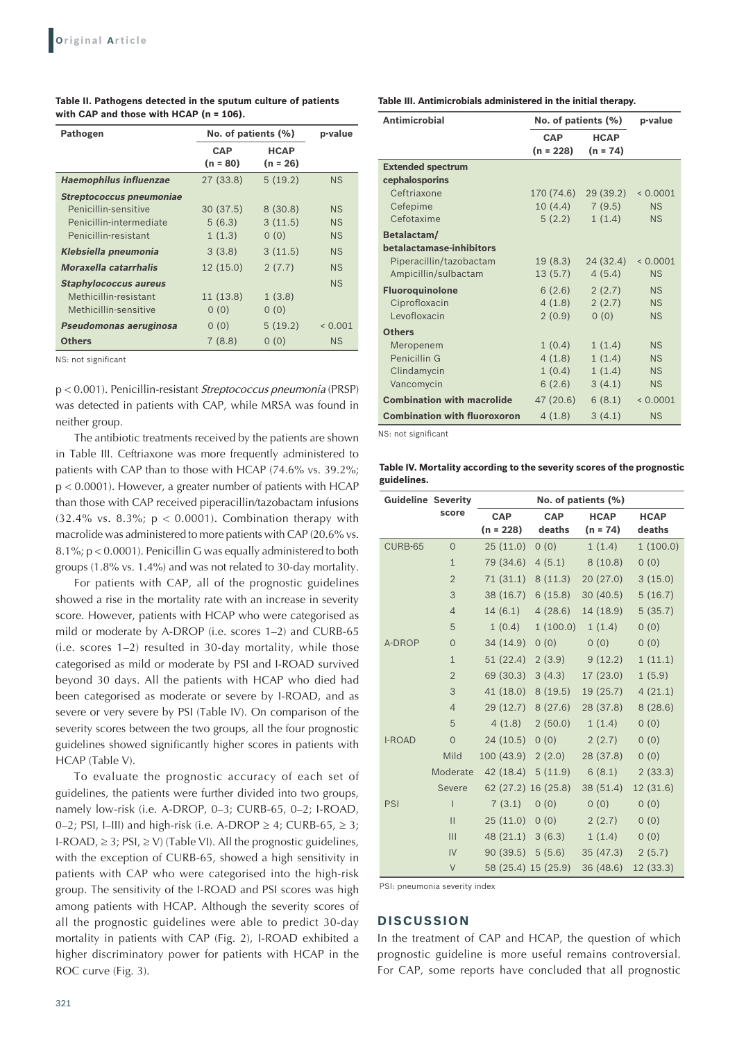| Pathogen                      | No. of patients (%) |             | p-value   |
|-------------------------------|---------------------|-------------|-----------|
|                               | <b>CAP</b>          | <b>HCAP</b> |           |
|                               | (n = 80)            | $(n = 26)$  |           |
| <b>Haemophilus influenzae</b> | 27(33.8)            | 5(19.2)     | <b>NS</b> |
| Streptococcus pneumoniae      |                     |             |           |
| Penicillin-sensitive          | 30(37.5)            | 8(30.8)     | NS        |
| Penicillin-intermediate       | 5(6.3)              | 3(11.5)     | <b>NS</b> |
| Penicillin-resistant          | 1(1.3)              | 0(0)        | <b>NS</b> |
| Klebsiella pneumonia          | 3(3.8)              | 3(11.5)     | <b>NS</b> |
| Moraxella catarrhalis         | 12(15.0)            | 2(7.7)      | <b>NS</b> |
| <b>Staphylococcus aureus</b>  |                     |             | <b>NS</b> |
| Methicillin-resistant         | 11(13.8)            | 1(3.8)      |           |
| Methicillin-sensitive         | 0(0)                | 0(0)        |           |
| Pseudomonas aeruginosa        | 0(0)                | 5(19.2)     | < 0.001   |
| <b>Others</b>                 | 7(8.8)              | 0(0)        | <b>NS</b> |

**Table II. Pathogens detected in the sputum culture of patients with CAP and those with HCAP (n = 106).**

NS: not significant

p < 0.001). Penicillin-resistant *Streptococcus pneumonia* (PRSP) was detected in patients with CAP, while MRSA was found in neither group.

The antibiotic treatments received by the patients are shown in Table III. Ceftriaxone was more frequently administered to patients with CAP than to those with HCAP (74.6% vs. 39.2%; p < 0.0001). However, a greater number of patients with HCAP than those with CAP received piperacillin/tazobactam infusions (32.4% vs. 8.3%;  $p < 0.0001$ ). Combination therapy with macrolide was administered to more patients with CAP (20.6% vs. 8.1%; p < 0.0001). Penicillin G was equally administered to both groups (1.8% vs. 1.4%) and was not related to 30-day mortality.

For patients with CAP, all of the prognostic guidelines showed a rise in the mortality rate with an increase in severity score. However, patients with HCAP who were categorised as mild or moderate by A-DROP (i.e. scores 1–2) and CURB-65 (i.e. scores 1–2) resulted in 30-day mortality, while those categorised as mild or moderate by PSI and I-ROAD survived beyond 30 days. All the patients with HCAP who died had been categorised as moderate or severe by I-ROAD, and as severe or very severe by PSI (Table IV). On comparison of the severity scores between the two groups, all the four prognostic guidelines showed significantly higher scores in patients with HCAP (Table V).

To evaluate the prognostic accuracy of each set of guidelines, the patients were further divided into two groups, namely low-risk (i.e. A-DROP, 0–3; CURB-65, 0–2; I-ROAD, 0–2; PSI, I–III) and high-risk (i.e. A-DROP  $\geq$  4; CURB-65,  $\geq$  3; I-ROAD,  $\geq$  3; PSI,  $\geq$  V) (Table VI). All the prognostic guidelines, with the exception of CURB-65, showed a high sensitivity in patients with CAP who were categorised into the high-risk group. The sensitivity of the I-ROAD and PSI scores was high among patients with HCAP. Although the severity scores of all the prognostic guidelines were able to predict 30-day mortality in patients with CAP (Fig. 2), I-ROAD exhibited a higher discriminatory power for patients with HCAP in the ROC curve (Fig. 3).

**Table III. Antimicrobials administered in the initial therapy.**

| <b>Antimicrobial</b>                | No. of patients (%) |             | p-value   |
|-------------------------------------|---------------------|-------------|-----------|
|                                     | <b>CAP</b>          | <b>HCAP</b> |           |
|                                     | (n = 228)           | $(n = 74)$  |           |
| <b>Extended spectrum</b>            |                     |             |           |
| cephalosporins                      |                     |             |           |
| Ceftriaxone                         | 170 (74.6)          | 29(39.2)    | < 0.0001  |
| Cefepime                            | 10(4.4)             | 7(9.5)      | NS        |
| Cefotaxime                          | 5(2.2)              | 1(1.4)      | <b>NS</b> |
| Betalactam/                         |                     |             |           |
| betalactamase-inhibitors            |                     |             |           |
| Piperacillin/tazobactam             | 19(8.3)             | 24(32.4)    | < 0.0001  |
| Ampicillin/sulbactam                | 13(5.7)             | 4(5.4)      | NS        |
| <b>Fluoroquinolone</b>              | 6(2.6)              | 2(2.7)      | <b>NS</b> |
| Ciprofloxacin                       | 4(1.8)              | 2(2.7)      | <b>NS</b> |
| Levofloxacin                        | 2(0.9)              | 0(0)        | <b>NS</b> |
| <b>Others</b>                       |                     |             |           |
| Meropenem                           | 1(0.4)              | 1(1.4)      | NS        |
| Penicillin G                        | 4(1.8)              | 1(1.4)      | <b>NS</b> |
| Clindamycin                         | 1(0.4)              | 1(1.4)      | <b>NS</b> |
| Vancomycin                          | 6(2.6)              | 3(4.1)      | <b>NS</b> |
| <b>Combination with macrolide</b>   | 47 (20.6)           | 6(8.1)      | < 0.0001  |
| <b>Combination with fluoroxoron</b> | 4(1.8)              | 3(4.1)      | <b>NS</b> |

NS: not significant

**Table IV. Mortality according to the severity scores of the prognostic guidelines.**

| <b>Guideline Severity</b> |                | No. of patients (%) |                     |                 |             |
|---------------------------|----------------|---------------------|---------------------|-----------------|-------------|
|                           | score          | <b>CAP</b>          | <b>CAP</b>          | <b>HCAP</b>     | <b>HCAP</b> |
|                           |                | (n = 228)           | deaths              | $(n = 74)$      | deaths      |
| CURB-65                   | $\overline{0}$ | 25(11.0)            | (0)                 | 1(1.4)          | 1(100.0)    |
|                           | $\mathbf{1}$   | 79 (34.6)           | 4(5.1)              | 8(10.8)         | (0)         |
|                           | $\overline{2}$ | 71(31.1)            | 8(11.3)             | 20(27.0)        | 3(15.0)     |
|                           | 3              | 38 (16.7)           | 6(15.8)             | 30(40.5)        | 5(16.7)     |
|                           | $\overline{4}$ | 14(6.1)             | 4(28.6)             | 14 (18.9)       | 5(35.7)     |
|                           | 5              | 1(0.4)              |                     | 1(100.0) 1(1.4) | 0(0)        |
| A-DROP                    | $\overline{0}$ | 34 (14.9)           | 0(0)                | 0(0)            | (0)         |
|                           | $\mathbf{1}$   | 51 (22.4)           | 2(3.9)              | 9(12.2)         | 1(11.1)     |
|                           | $\overline{2}$ | 69 (30.3)           | 3(4.3)              | 17(23.0)        | 1(5.9)      |
|                           | 3              | 41(18.0)            | 8(19.5)             | 19(25.7)        | 4(21.1)     |
|                           | $\overline{4}$ | 29(12.7)            | 8(27.6)             | 28 (37.8)       | 8(28.6)     |
|                           | 5              | 4(1.8)              | 2(50.0)             | 1(1.4)          | 0(0)        |
| I-ROAD                    | $\mathbf 0$    | 24(10.5) 0(0)       |                     | 2(2.7)          | 0(0)        |
|                           | Mild           | $100(43.9)$ 2 (2.0) |                     | 28 (37.8)       | 0(0)        |
|                           | Moderate       | 42 (18.4)           | 5(11.9)             | 6(8.1)          | 2(33.3)     |
|                           | Severe         |                     | 62 (27.2) 16 (25.8) | 38(51.4)        | 12(31.6)    |
| PSI                       | I              | 7(3.1)              | 0(0)                | 0(0)            | 0(0)        |
|                           | $\mathbf{II}$  | 25(11.0) 0(0)       |                     | 2(2.7)          | 0(0)        |
|                           | $\mathbf{III}$ |                     | $48(21.1)$ 3 (6.3)  | 1(1.4)          | 0(0)        |
|                           | IV             |                     | $90(39.5)$ 5 (5.6)  | 35(47.3)        | 2(5.7)      |
|                           | $\vee$         |                     | 58 (25.4) 15 (25.9) | 36 (48.6)       | 12 (33.3)   |

PSI: pneumonia severity index

## **DISCUSSION**

In the treatment of CAP and HCAP, the question of which prognostic guideline is more useful remains controversial. For CAP, some reports have concluded that all prognostic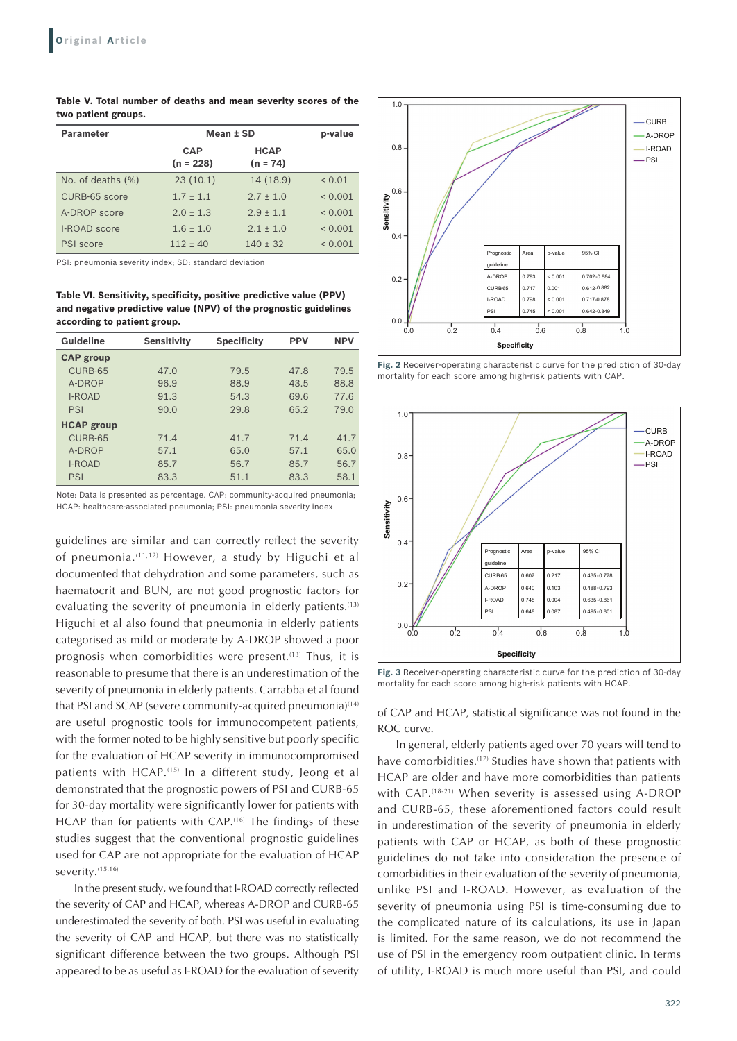**Table V. Total number of deaths and mean severity scores of the two patient groups.**

| <b>Parameter</b>     | Mean ± SD                 |                           | p-value     |
|----------------------|---------------------------|---------------------------|-------------|
|                      | <b>CAP</b><br>$(n = 228)$ | <b>HCAP</b><br>$(n = 74)$ |             |
| No. of deaths $(\%)$ | 23(10.1)                  | 14 (18.9)                 | ${}_{0.01}$ |
| CURB-65 score        | $1.7 + 1.1$               | $2.7 + 1.0$               | < 0.001     |
| A-DROP score         | $2.0 \pm 1.3$             | $2.9 + 1.1$               | < 0.001     |
| <b>I-ROAD</b> score  | $1.6 \pm 1.0$             | $2.1 + 1.0$               | < 0.001     |
| PSI score            | $112 + 40$                | $140 \pm 32$              | 0.001       |

PSI: pneumonia severity index; SD: standard deviation

**Table VI. Sensitivity, specificity, positive predictive value (PPV) and negative predictive value (NPV) of the prognostic guidelines according to patient group.**

| Guideline         | <b>Sensitivity</b> | <b>Specificity</b> | <b>PPV</b> | <b>NPV</b> |
|-------------------|--------------------|--------------------|------------|------------|
| <b>CAP</b> group  |                    |                    |            |            |
| CURB-65           | 47.0               | 79.5               | 47.8       | 79.5       |
| A-DROP            | 96.9               | 88.9               | 43.5       | 88.8       |
| <b>I-ROAD</b>     | 91.3               | 54.3               | 69.6       | 77.6       |
| PSI               | 90.0               | 29.8               | 65.2       | 79.0       |
| <b>HCAP group</b> |                    |                    |            |            |
| CURB-65           | 71.4               | 41.7               | 71.4       | 41.7       |
| A-DROP            | 57.1               | 65.0               | 57.1       | 65.0       |
| <b>I-ROAD</b>     | 85.7               | 56.7               | 85.7       | 56.7       |
| PSI               | 83.3               | 51.1               | 83.3       | 58.1       |

Note: Data is presented as percentage. CAP: community-acquired pneumonia; HCAP: healthcare-associated pneumonia; PSI: pneumonia severity index

guidelines are similar and can correctly reflect the severity of pneumonia.(11,12) However, a study by Higuchi et al documented that dehydration and some parameters, such as haematocrit and BUN, are not good prognostic factors for evaluating the severity of pneumonia in elderly patients.<sup>(13)</sup> Higuchi et al also found that pneumonia in elderly patients categorised as mild or moderate by A-DROP showed a poor prognosis when comorbidities were present.<sup>(13)</sup> Thus, it is reasonable to presume that there is an underestimation of the severity of pneumonia in elderly patients. Carrabba et al found that PSI and SCAP (severe community-acquired pneumonia)<sup>(14)</sup> are useful prognostic tools for immunocompetent patients, with the former noted to be highly sensitive but poorly specific for the evaluation of HCAP severity in immunocompromised patients with HCAP.(15) In a different study, Jeong et al demonstrated that the prognostic powers of PSI and CURB-65 for 30-day mortality were significantly lower for patients with HCAP than for patients with CAP.<sup>(16)</sup> The findings of these studies suggest that the conventional prognostic guidelines used for CAP are not appropriate for the evaluation of HCAP severity.<sup>(15,16)</sup>

In the present study, we found that I-ROAD correctly reflected the severity of CAP and HCAP, whereas A-DROP and CURB-65 underestimated the severity of both. PSI was useful in evaluating the severity of CAP and HCAP, but there was no statistically significant difference between the two groups. Although PSI appeared to be as useful as I-ROAD for the evaluation of severity



**Fig. 2** Receiver-operating characteristic curve for the prediction of 30-day mortality for each score among high-risk patients with CAP.



**Fig. 3** Receiver-operating characteristic curve for the prediction of 30-day mortality for each score among high-risk patients with HCAP.

of CAP and HCAP, statistical significance was not found in the ROC curve.

In general, elderly patients aged over 70 years will tend to have comorbidities.<sup>(17)</sup> Studies have shown that patients with HCAP are older and have more comorbidities than patients with CAP.<sup>(18-21)</sup> When severity is assessed using A-DROP and CURB-65, these aforementioned factors could result in underestimation of the severity of pneumonia in elderly patients with CAP or HCAP, as both of these prognostic guidelines do not take into consideration the presence of comorbidities in their evaluation of the severity of pneumonia, unlike PSI and I-ROAD. However, as evaluation of the severity of pneumonia using PSI is time-consuming due to the complicated nature of its calculations, its use in Japan is limited. For the same reason, we do not recommend the use of PSI in the emergency room outpatient clinic. In terms of utility, I-ROAD is much more useful than PSI, and could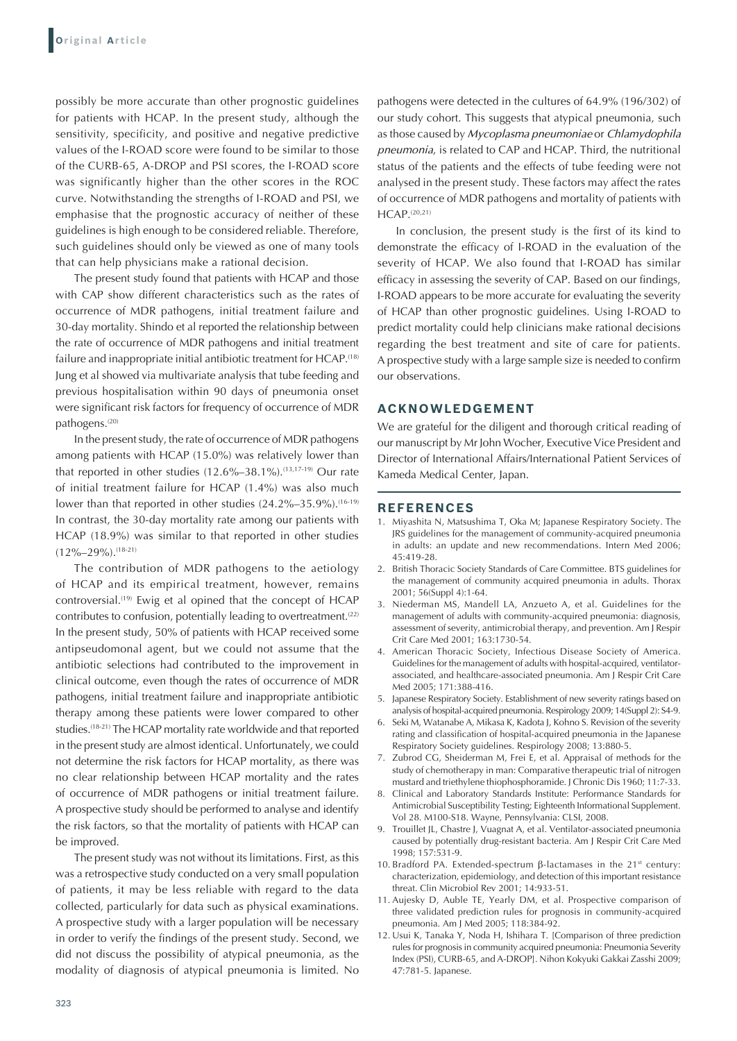possibly be more accurate than other prognostic guidelines for patients with HCAP. In the present study, although the sensitivity, specificity, and positive and negative predictive values of the I-ROAD score were found to be similar to those of the CURB-65, A-DROP and PSI scores, the I-ROAD score was significantly higher than the other scores in the ROC curve. Notwithstanding the strengths of I-ROAD and PSI, we emphasise that the prognostic accuracy of neither of these guidelines is high enough to be considered reliable. Therefore, such guidelines should only be viewed as one of many tools that can help physicians make a rational decision.

The present study found that patients with HCAP and those with CAP show different characteristics such as the rates of occurrence of MDR pathogens, initial treatment failure and 30-day mortality. Shindo et al reported the relationship between the rate of occurrence of MDR pathogens and initial treatment failure and inappropriate initial antibiotic treatment for HCAP.<sup>(18)</sup> Jung et al showed via multivariate analysis that tube feeding and previous hospitalisation within 90 days of pneumonia onset were significant risk factors for frequency of occurrence of MDR pathogens.<sup>(20)</sup>

In the present study, the rate of occurrence of MDR pathogens among patients with HCAP (15.0%) was relatively lower than that reported in other studies  $(12.6\% - 38.1\%)$ .<sup>(13,17-19)</sup> Our rate of initial treatment failure for HCAP (1.4%) was also much lower than that reported in other studies  $(24.2\% - 35.9\%).$ <sup>(16-19)</sup> In contrast, the 30-day mortality rate among our patients with HCAP (18.9%) was similar to that reported in other studies  $(12\%-29\%)$ . (18-21)

The contribution of MDR pathogens to the aetiology of HCAP and its empirical treatment, however, remains controversial.(19) Ewig et al opined that the concept of HCAP contributes to confusion, potentially leading to overtreatment.<sup>(22)</sup> In the present study, 50% of patients with HCAP received some antipseudomonal agent, but we could not assume that the antibiotic selections had contributed to the improvement in clinical outcome, even though the rates of occurrence of MDR pathogens, initial treatment failure and inappropriate antibiotic therapy among these patients were lower compared to other studies.<sup>(18-21)</sup> The HCAP mortality rate worldwide and that reported in the present study are almost identical. Unfortunately, we could not determine the risk factors for HCAP mortality, as there was no clear relationship between HCAP mortality and the rates of occurrence of MDR pathogens or initial treatment failure. A prospective study should be performed to analyse and identify the risk factors, so that the mortality of patients with HCAP can be improved.

The present study was not without its limitations. First, as this was a retrospective study conducted on a very small population of patients, it may be less reliable with regard to the data collected, particularly for data such as physical examinations. A prospective study with a larger population will be necessary in order to verify the findings of the present study. Second, we did not discuss the possibility of atypical pneumonia, as the modality of diagnosis of atypical pneumonia is limited. No pathogens were detected in the cultures of 64.9% (196/302) of our study cohort. This suggests that atypical pneumonia, such as those caused by *Mycoplasma pneumoniae* or *Chlamydophila pneumonia*, is related to CAP and HCAP. Third, the nutritional status of the patients and the effects of tube feeding were not analysed in the present study. These factors may affect the rates of occurrence of MDR pathogens and mortality of patients with HCAP.<sup>(20,21)</sup>

In conclusion, the present study is the first of its kind to demonstrate the efficacy of I-ROAD in the evaluation of the severity of HCAP. We also found that I-ROAD has similar efficacy in assessing the severity of CAP. Based on our findings, I-ROAD appears to be more accurate for evaluating the severity of HCAP than other prognostic guidelines. Using I-ROAD to predict mortality could help clinicians make rational decisions regarding the best treatment and site of care for patients. A prospective study with a large sample size is needed to confirm our observations.

#### **ACKNOWLEDGEMENT**

We are grateful for the diligent and thorough critical reading of our manuscript by Mr John Wocher, Executive Vice President and Director of International Affairs/International Patient Services of Kameda Medical Center, Japan.

#### **REFERENCES**

- 1. Miyashita N, Matsushima T, Oka M; Japanese Respiratory Society. The JRS guidelines for the management of community-acquired pneumonia in adults: an update and new recommendations. Intern Med 2006; 45:419-28.
- 2. British Thoracic Society Standards of Care Committee. BTS guidelines for the management of community acquired pneumonia in adults. Thorax 2001; 56(Suppl 4):1-64.
- 3. Niederman MS, Mandell LA, Anzueto A, et al. Guidelines for the management of adults with community-acquired pneumonia: diagnosis, assessment of severity, antimicrobial therapy, and prevention. Am J Respir Crit Care Med 2001; 163:1730-54.
- 4. American Thoracic Society, Infectious Disease Society of America. Guidelines for the management of adults with hospital-acquired, ventilatorassociated, and healthcare-associated pneumonia. Am J Respir Crit Care Med 2005; 171:388-416.
- 5. Japanese Respiratory Society. Establishment of new severity ratings based on analysis of hospital-acquired pneumonia. Respirology 2009; 14(Suppl 2): S4-9.
- 6. Seki M, Watanabe A, Mikasa K, Kadota J, Kohno S. Revision of the severity rating and classification of hospital-acquired pneumonia in the Japanese Respiratory Society guidelines. Respirology 2008; 13:880-5.
- 7. Zubrod CG, Sheiderman M, Frei E, et al. Appraisal of methods for the study of chemotherapy in man: Comparative therapeutic trial of nitrogen mustard and triethylene thiophosphoramide. J Chronic Dis 1960; 11:7-33.
- 8. Clinical and Laboratory Standards Institute: Performance Standards for Antimicrobial Susceptibility Testing; Eighteenth Informational Supplement. Vol 28. M100‑S18. Wayne, Pennsylvania: CLSI, 2008.
- 9. Trouillet JL, Chastre J, Vuagnat A, et al. Ventilator-associated pneumonia caused by potentially drug-resistant bacteria. Am J Respir Crit Care Med 1998; 157:531-9.
- 10. Bradford PA. Extended-spectrum  $\beta$ -lactamases in the 21<sup>st</sup> century: characterization, epidemiology, and detection of this important resistance threat. Clin Microbiol Rev 2001; 14:933-51.
- 11. Aujesky D, Auble TE, Yearly DM, et al. Prospective comparison of three validated prediction rules for prognosis in community-acquired pneumonia. Am J Med 2005; 118:384-92.
- 12. Usui K, Tanaka Y, Noda H, Ishihara T. [Comparison of three prediction rules for prognosis in community acquired pneumonia: Pneumonia Severity Index (PSI), CURB-65, and A-DROP]. Nihon Kokyuki Gakkai Zasshi 2009; 47:781-5. Japanese.